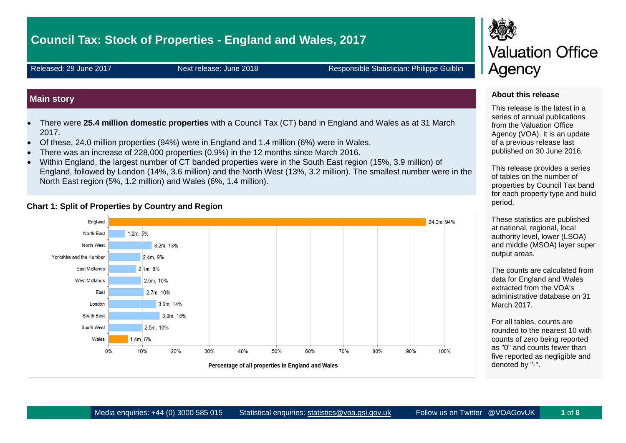# **Council Tax: Stock of Properties - England and Wales, 2017**

Released: 29 June 2017 Next release: June 2018 Responsible Statistician: Philippe Guiblin

# **Main story**

- There were **25.4 million domestic properties** with a Council Tax (CT) band in England and Wales as at 31 March 2017.
- Of these, 24.0 million properties (94%) were in England and 1.4 million (6%) were in Wales.
- There was an increase of 228,000 properties (0.9%) in the 12 months since March 2016.
- Within England, the largest number of CT banded properties were in the South East region (15%, 3.9 million) of England, followed by London (14%, 3.6 million) and the North West (13%, 3.2 million). The smallest number were in the North East region (5%, 1.2 million) and Wales (6%, 1.4 million).

#### **Chart 1: Split of Properties by Country and Region**



# **Valuation Office** Agency

#### **About this release**

This release is the latest in a series of annual publications from the Valuation Office Agency (VOA). It is an update of a previous release last published on 30 June 2016.

This release provides a series of tables on the number of properties by Council Tax band for each property type and build period.

These statistics are published at national, regional, local authority level, lower (LSOA) and middle (MSOA) layer super output areas.

The counts are calculated from data for England and Wales extracted from the VOA's administrative database on 31 March 2017.

For all tables, counts are rounded to the nearest 10 with counts of zero being reported as "0" and counts fewer than five reported as negligible and denoted by "-".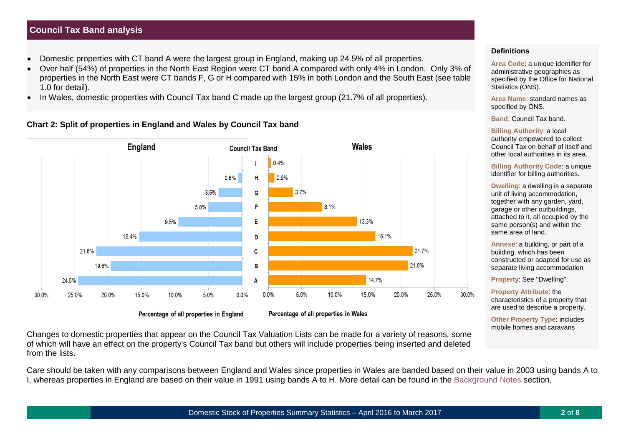# **Council Tax Band analysis**

- Domestic properties with CT band A were the largest group in England, making up 24.5% of all properties.
- Over half (54%) of properties in the North East Region were CT band A compared with only 4% in London. Only 3% of properties in the North East were CT bands F, G or H compared with 15% in both London and the South East (see table 1.0 for detail).
- In Wales, domestic properties with Council Tax band C made up the largest group (21.7% of all properties).

**Chart 2: Split of properties in England and Wales by Council Tax band**



Percentage of all properties in England

Percentage of all properties in Wales

Changes to domestic properties that appear on the Council Tax Valuation Lists can be made for a variety of reasons, some of which will have an effect on the property's Council Tax band but others will include properties being inserted and deleted from the lists.

Care should be taken with any comparisons between England and Wales since properties in Wales are banded based on their value in 2003 using bands A to I, whereas properties in England are based on their value in 1991 using bands A to H. More detail can be found in the [Background Notes](#page-5-0) section.

#### **Definitions**

Area Code: a unique identifier for administrative geographies as specified by the Office for National Statistics (ONS).

**Area Name**: standard names as specified by ONS.

**Band**: Council Tax band.

**Billing Authority**: a local authority empowered to collect Council Tax on behalf of itself and other local authorities in its area.

**Billing Authority Code**: a unique identifier for billing authorities.

**Dwelling**: a dwelling is a separate unit of living accommodation, together with any garden, yard, garage or other outbuildings, attached to it, all occupied by the same person(s) and within the same area of land.

**Annexe**: a building, or part of a building, which has been constructed or adapted for use as separate living accommodation

**Property**: See "Dwelling".

**Property Attribute**: the characteristics of a property that are used to describe a property.

**Other Property Type**: includes mobile homes and caravans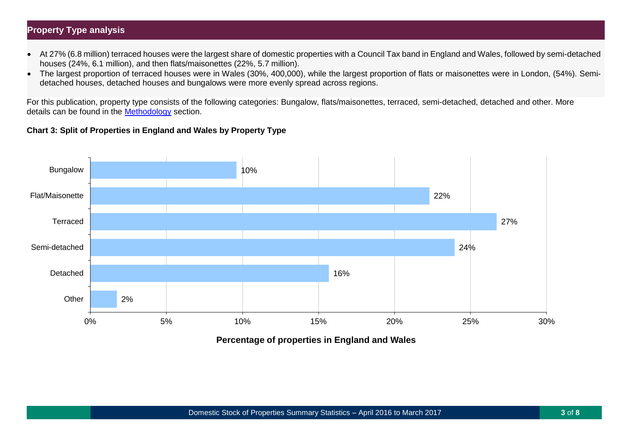# **Property Type analysis**

- At 27% (6.8 million) terraced houses were the largest share of domestic properties with a Council Tax band in England and Wales, followed by semi-detached houses (24%, 6.1 million), and then flats/maisonettes (22%, 5.7 million).
- The largest proportion of terraced houses were in Wales (30%, 400,000), while the largest proportion of flats or maisonettes were in London, (54%). Semidetached houses, detached houses and bungalows were more evenly spread across regions.

For this publication, property type consists of the following categories: Bungalow, flats/maisonettes, terraced, semi-detached, detached and other. More details can be found in the [Methodology](#page-6-0) section.

# **Chart 3: Split of Properties in England and Wales by Property Type**



**Percentage of properties in England and Wales**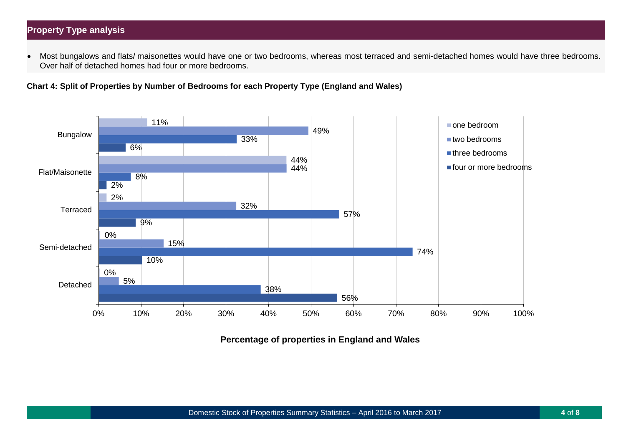# **Property Type analysis**

• Most bungalows and flats/ maisonettes would have one or two bedrooms, whereas most terraced and semi-detached homes would have three bedrooms. Over half of detached homes had four or more bedrooms.

**Chart 4: Split of Properties by Number of Bedrooms for each Property Type (England and Wales)**



**Percentage of properties in England and Wales**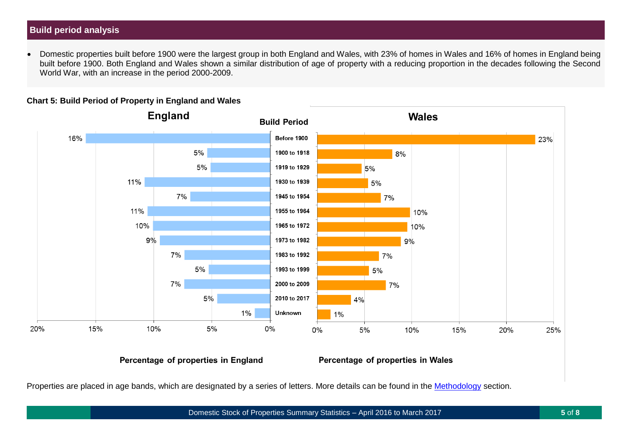# **Build period analysis**

• Domestic properties built before 1900 were the largest group in both England and Wales, with 23% of homes in Wales and 16% of homes in England being built before 1900. Both England and Wales shown a similar distribution of age of property with a reducing proportion in the decades following the Second World War, with an increase in the period 2000-2009.



#### **Chart 5: Build Period of Property in England and Wales**

Percentage of properties in England

Percentage of properties in Wales

Properties are placed in age bands, which are designated by a series of letters. More details can be found in the [Methodology](#page-6-0) section.

Domestic Stock of Properties Summary Statistics – April 2016 to March 2017 **5** of **8**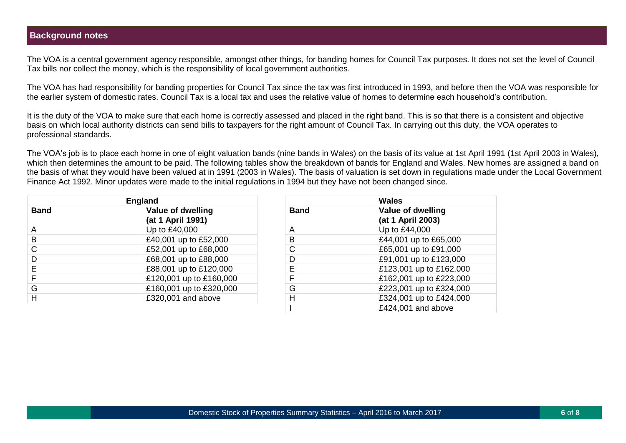## <span id="page-5-0"></span>**Background notes**

The VOA is a central government agency responsible, amongst other things, for banding homes for Council Tax purposes. It does not set the level of Council Tax bills nor collect the money, which is the responsibility of local government authorities.

The VOA has had responsibility for banding properties for Council Tax since the tax was first introduced in 1993, and before then the VOA was responsible for the earlier system of domestic rates. Council Tax is a local tax and uses the relative value of homes to determine each household's contribution.

It is the duty of the VOA to make sure that each home is correctly assessed and placed in the right band. This is so that there is a consistent and objective basis on which local authority districts can send bills to taxpayers for the right amount of Council Tax. In carrying out this duty, the VOA operates to professional standards.

The VOA's job is to place each home in one of eight valuation bands (nine bands in Wales) on the basis of its value at 1st April 1991 (1st April 2003 in Wales), which then determines the amount to be paid. The following tables show the breakdown of bands for England and Wales. New homes are assigned a band on the basis of what they would have been valued at in 1991 (2003 in Wales). The basis of valuation is set down in regulations made under the Local Government Finance Act 1992. Minor updates were made to the initial regulations in 1994 but they have not been changed since.

|             | <b>England</b>                         | <b>Wales</b> |                                        |
|-------------|----------------------------------------|--------------|----------------------------------------|
| <b>Band</b> | Value of dwelling<br>(at 1 April 1991) | <b>Band</b>  | Value of dwelling<br>(at 1 April 2003) |
| A           | Up to £40,000                          | A            | Up to £44,000                          |
| B           | £40,001 up to £52,000                  | В            | £44,001 up to £65,000                  |
| C           | £52,001 up to £68,000                  | C            | £65,001 up to £91,000                  |
| D           | £68,001 up to £88,000                  | D            | £91,001 up to £123,000                 |
|             | £88,001 up to £120,000                 | E            | £123,001 up to £162,000                |
|             | £120,001 up to £160,000                | E            | £162,001 up to £223,000                |
| G           | £160,001 up to £320,000                | G            | £223,001 up to £324,000                |
| H           | £320,001 and above                     | H            | £324,001 up to £424,000                |
|             |                                        |              |                                        |

| <b>Wales</b> |                                               |  |  |
|--------------|-----------------------------------------------|--|--|
| <b>Band</b>  | <b>Value of dwelling</b><br>(at 1 April 2003) |  |  |
| A            | Up to £44,000                                 |  |  |
| в            | £44,001 up to £65,000                         |  |  |
| C            | £65,001 up to £91,000                         |  |  |
| D            | £91,001 up to £123,000                        |  |  |
| Е            | £123,001 up to £162,000                       |  |  |
| F            | £162,001 up to £223,000                       |  |  |
| G            | £223,001 up to £324,000                       |  |  |
| н            | £324,001 up to £424,000                       |  |  |
|              | £424,001 and above                            |  |  |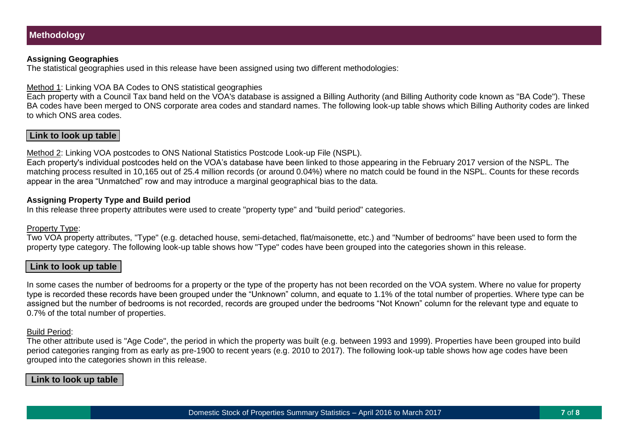#### <span id="page-6-0"></span>**Assigning Geographies**

The statistical geographies used in this release have been assigned using two different methodologies:

Method 1: Linking VOA BA Codes to ONS statistical geographies

Each property with a Council Tax band held on the VOA's database is assigned a Billing Authority (and Billing Authority code known as "BA Code"). These BA codes have been merged to ONS corporate area codes and standard names. The following look-up table shows which Billing Authority codes are linked to which ONS area codes.

# **Link to look up table**

Method 2: Linking VOA postcodes to ONS National Statistics Postcode Look-up File (NSPL).

Each property's individual postcodes held on the VOA's database have been linked to those appearing in the February 2017 version of the NSPL. The matching process resulted in 10,165 out of 25.4 million records (or around 0.04%) where no match could be found in the NSPL. Counts for these records appear in the area "Unmatched" row and may introduce a marginal geographical bias to the data.

#### **Assigning Property Type and Build period**

In this release three property attributes were used to create "property type" and "build period" categories.

#### Property Type:

Two VOA property attributes, "Type" (e.g. detached house, semi-detached, flat/maisonette, etc.) and "Number of bedrooms" have been used to form the property type category. The following look-up table shows how "Type" codes have been grouped into the categories shown in this release.

## **Link to look up table**

In some cases the number of bedrooms for a property or the type of the property has not been recorded on the VOA system. Where no value for property type is recorded these records have been grouped under the "Unknown" column, and equate to 1.1% of the total number of properties. Where type can be assigned but the number of bedrooms is not recorded, records are grouped under the bedrooms "Not Known" column for the relevant type and equate to 0.7% of the total number of properties.

#### Build Period:

The other attribute used is "Age Code", the period in which the property was built (e.g. between 1993 and 1999). Properties have been grouped into build period categories ranging from as early as pre-1900 to recent years (e.g. 2010 to 2017). The following look-up table shows how age codes have been grouped into the categories shown in this release.

#### **Link to look up table**